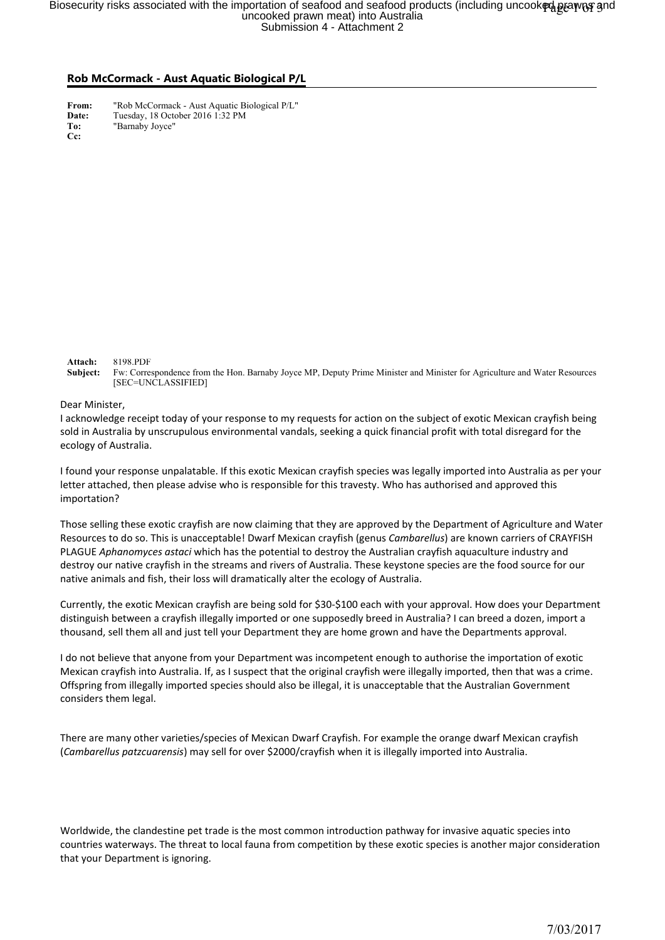## Biosecurity risks associated with the importation of seafood and seafood products (including uncook�d̥pɛewɾo͡ʁ<br>uncooked prawn meat) into Australia<br>Submission 4 - Attachment 2

## **Rob McCormack - Aust Aquatic Biological P/L**

**From:** "Rob McCormack - Aust Aquatic Biological P/L"<br>Date: Tuesday, 18 October 2016 1:32 PM **Date:** Tuesday, 18 October 2016 1:32 PM **To:** "Barnaby Joyce" **Cc:**

**Attach:** 8198.PDF

**Subject:** Fw: Correspondence from the Hon. Barnaby Joyce MP, Deputy Prime Minister and Minister for Agriculture and Water Resources [SEC=UNCLASSIFIED]

Dear Minister,

I acknowledge receipt today of your response to my requests for action on the subject of exotic Mexican crayfish being sold in Australia by unscrupulous environmental vandals, seeking a quick financial profit with total disregard for the ecology of Australia.

I found your response unpalatable. If this exotic Mexican crayfish species was legally imported into Australia as per your letter attached, then please advise who is responsible for this travesty. Who has authorised and approved this importation?

Those selling these exotic crayfish are now claiming that they are approved by the Department of Agriculture and Water Resources to do so. This is unacceptable! Dwarf Mexican crayfish (genus *Cambarellus*) are known carriers of CRAYFISH PLAGUE *Aphanomyces astaci* which has the potential to destroy the Australian crayfish aquaculture industry and destroy our native crayfish in the streams and rivers of Australia. These keystone species are the food source for our native animals and fish, their loss will dramatically alter the ecology of Australia.

Currently, the exotic Mexican crayfish are being sold for \$30-\$100 each with your approval. How does your Department distinguish between a crayfish illegally imported or one supposedly breed in Australia? I can breed a dozen, import a thousand, sell them all and just tell your Department they are home grown and have the Departments approval.

I do not believe that anyone from your Department was incompetent enough to authorise the importation of exotic Mexican crayfish into Australia. If, as I suspect that the original crayfish were illegally imported, then that was a crime. Offspring from illegally imported species should also be illegal, it is unacceptable that the Australian Government considers them legal.

There are many other varieties/species of Mexican Dwarf Crayfish. For example the orange dwarf Mexican crayfish (*Cambarellus patzcuarensis*) may sell for over \$2000/crayfish when it is illegally imported into Australia.

Worldwide, the clandestine pet trade is the most common introduction pathway for invasive aquatic species into countries waterways. The threat to local fauna from competition by these exotic species is another major consideration that your Department is ignoring.